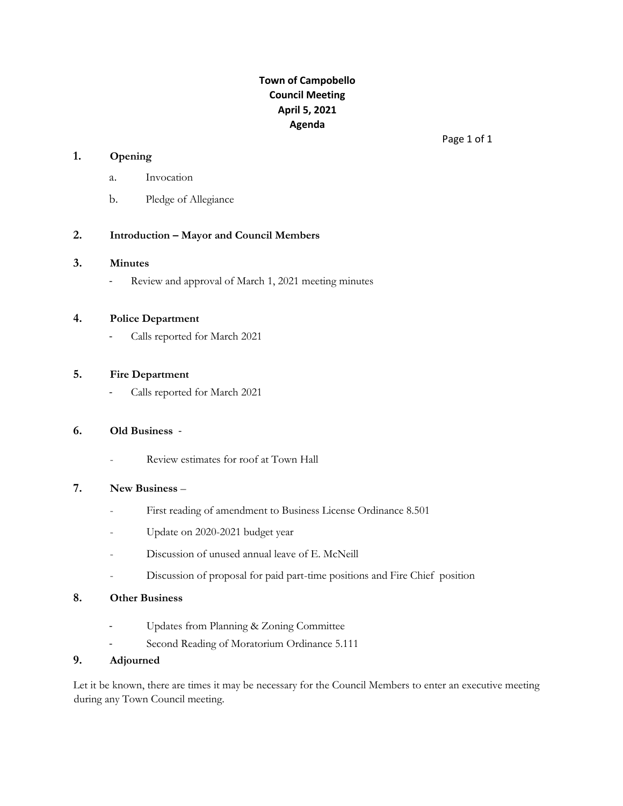## **Town of Campobello Council Meeting April 5, 2021 Agenda**

#### **1. Opening**

- a. Invocation
- b. Pledge of Allegiance

### **2. Introduction – Mayor and Council Members**

#### **3. Minutes**

- Review and approval of March 1, 2021 meeting minutes

#### **4. Police Department**

- Calls reported for March 2021

### **5. Fire Department**

Calls reported for March 2021

#### **6. Old Business** -

Review estimates for roof at Town Hall

### **7. New Business** –

- First reading of amendment to Business License Ordinance 8.501
- Update on 2020-2021 budget year
- Discussion of unused annual leave of E. McNeill
- Discussion of proposal for paid part-time positions and Fire Chief position

#### **8. Other Business**

- Updates from Planning & Zoning Committee
- Second Reading of Moratorium Ordinance 5.111

### **9. Adjourned**

Let it be known, there are times it may be necessary for the Council Members to enter an executive meeting during any Town Council meeting.

Page 1 of 1